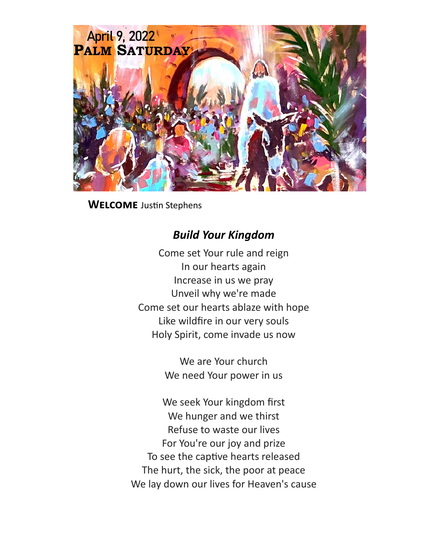

**Welcome** Justin Stephens

## *Build Your Kingdom*

Come set Your rule and reign In our hearts again Increase in us we pray Unveil why we're made Come set our hearts ablaze with hope Like wildfire in our very souls Holy Spirit, come invade us now

> We are Your church We need Your power in us

We seek Your kingdom first We hunger and we thirst Refuse to waste our lives For You're our joy and prize To see the captive hearts released The hurt, the sick, the poor at peace We lay down our lives for Heaven's cause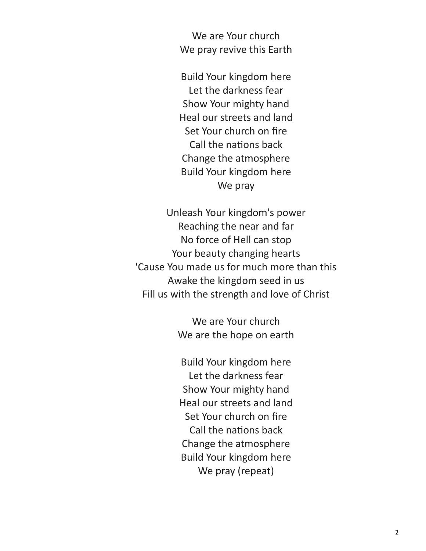We are Your church We pray revive this Earth

Build Your kingdom here Let the darkness fear Show Your mighty hand Heal our streets and land Set Your church on fire Call the nations back Change the atmosphere Build Your kingdom here We pray

Unleash Your kingdom's power Reaching the near and far No force of Hell can stop Your beauty changing hearts 'Cause You made us for much more than this Awake the kingdom seed in us Fill us with the strength and love of Christ

> We are Your church We are the hope on earth

Build Your kingdom here Let the darkness fear Show Your mighty hand Heal our streets and land Set Your church on fire Call the nations back Change the atmosphere Build Your kingdom here We pray (repeat)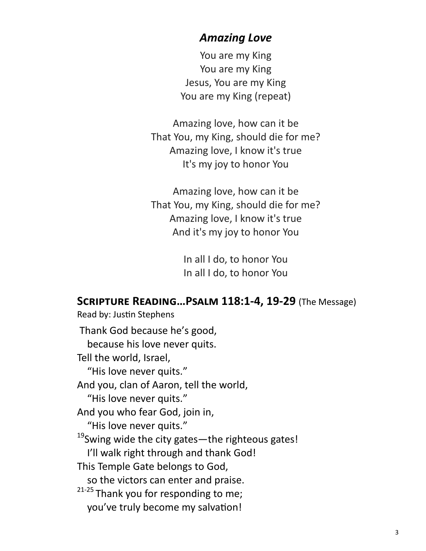### *Amazing Love*

You are my King You are my King Jesus, You are my King You are my King (repeat)

Amazing love, how can it be That You, my King, should die for me? Amazing love, I know it's true It's my joy to honor You

Amazing love, how can it be That You, my King, should die for me? Amazing love, I know it's true And it's my joy to honor You

> In all I do, to honor You In all I do, to honor You

#### **Scripture Reading…Psalm 118:1-4, 19-29** (The Message)

Read by: Justin Stephens Thank God because he's good, because his love never quits. Tell the world, Israel, "His love never quits." And you, clan of Aaron, tell the world, "His love never quits." And you who fear God, join in, "His love never quits." <sup>19</sup>Swing wide the city gates—the righteous gates! I'll walk right through and thank God! This Temple Gate belongs to God, so the victors can enter and praise.  $21-25$  Thank you for responding to me; you've truly become my salvation!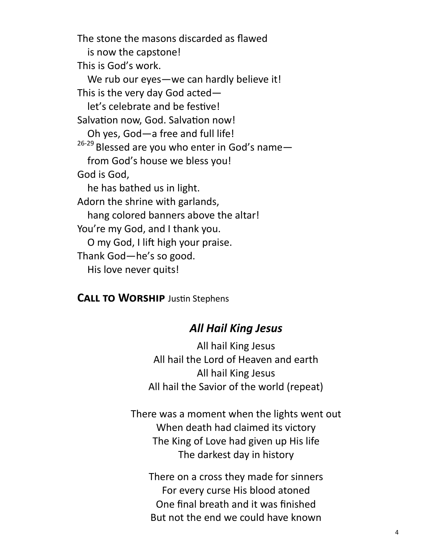The stone the masons discarded as flawed is now the capstone! This is God's work.

We rub our eyes—we can hardly believe it! This is the very day God acted let's celebrate and be festive! Salvation now, God. Salvation now! Oh yes, God—a free and full life!  $26-29$  Blessed are you who enter in God's name from God's house we bless you! God is God, he has bathed us in light. Adorn the shrine with garlands, hang colored banners above the altar! You're my God, and I thank you. O my God, I lift high your praise. Thank God—he's so good. His love never quits!

**CALL TO WORSHIP Justin Stephens** 

#### *All Hail King Jesus*

All hail King Jesus All hail the Lord of Heaven and earth All hail King Jesus All hail the Savior of the world (repeat)

There was a moment when the lights went out When death had claimed its victory The King of Love had given up His life The darkest day in history

There on a cross they made for sinners For every curse His blood atoned One final breath and it was finished But not the end we could have known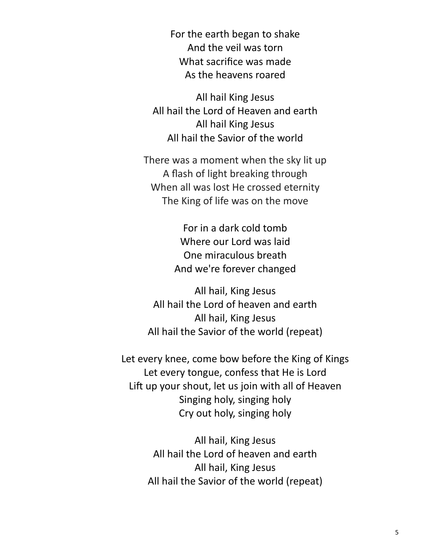For the earth began to shake And the veil was torn What sacrifice was made As the heavens roared

All hail King Jesus All hail the Lord of Heaven and earth All hail King Jesus All hail the Savior of the world

There was a moment when the sky lit up A flash of light breaking through When all was lost He crossed eternity The King of life was on the move

> For in a dark cold tomb Where our Lord was laid One miraculous breath And we're forever changed

All hail, King Jesus All hail the Lord of heaven and earth All hail, King Jesus All hail the Savior of the world (repeat)

Let every knee, come bow before the King of Kings Let every tongue, confess that He is Lord Lift up your shout, let us join with all of Heaven Singing holy, singing holy Cry out holy, singing holy

> All hail, King Jesus All hail the Lord of heaven and earth All hail, King Jesus All hail the Savior of the world (repeat)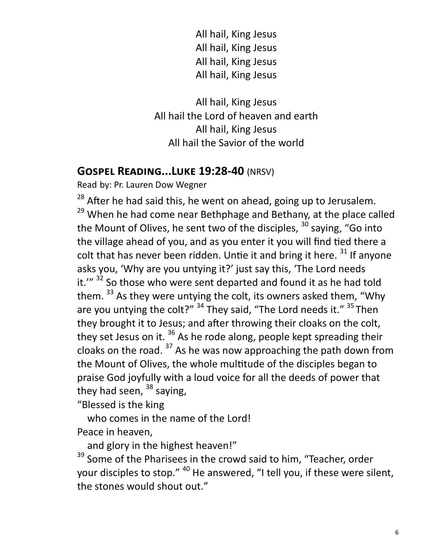All hail, King Jesus All hail, King Jesus All hail, King Jesus All hail, King Jesus

All hail, King Jesus All hail the Lord of heaven and earth All hail, King Jesus All hail the Savior of the world

#### **Gospel Reading...Luke 19:28-40** (NRSV)

Read by: Pr. Lauren Dow Wegner

 $28$  After he had said this, he went on ahead, going up to Jerusalem. <sup>29</sup> When he had come near Bethphage and Bethany, at the place called the Mount of Olives, he sent two of the disciples, <sup>30</sup> saying, "Go into the village ahead of you, and as you enter it you will find tied there a colt that has never been ridden. Untie it and bring it here.  $31$  If anyone asks you, 'Why are you untying it?' just say this, 'The Lord needs it."<sup>32</sup> So those who were sent departed and found it as he had told them. <sup>33</sup> As they were untying the colt, its owners asked them, "Why are you untying the colt?" <sup>34</sup> They said, "The Lord needs it." <sup>35</sup> Then they brought it to Jesus; and after throwing their cloaks on the colt, they set Jesus on it.  $36$  As he rode along, people kept spreading their cloaks on the road.  $37$  As he was now approaching the path down from the Mount of Olives, the whole multitude of the disciples began to praise God joyfully with a loud voice for all the deeds of power that they had seen,  $38$  saying,

"Blessed is the king

 who comes in the name of the Lord! Peace in heaven,

and glory in the highest heaven!"

<sup>39</sup> Some of the Pharisees in the crowd said to him, "Teacher, order your disciples to stop." <sup>40</sup> He answered, "I tell you, if these were silent, the stones would shout out."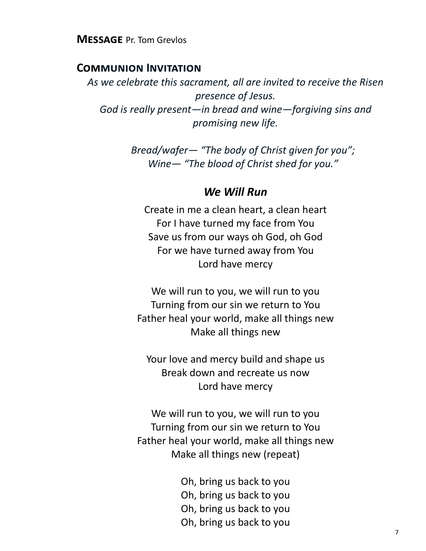**Message** Pr. Tom Grevlos

#### **Communion Invitation**

*As we celebrate this sacrament, all are invited to receive the Risen presence of Jesus. God is really present—in bread and wine—forgiving sins and promising new life.* 

> *Bread/wafer— "The body of Christ given for you"; Wine— "The blood of Christ shed for you."*

#### *We Will Run*

Create in me a clean heart, a clean heart For I have turned my face from You Save us from our ways oh God, oh God For we have turned away from You Lord have mercy

We will run to you, we will run to you Turning from our sin we return to You Father heal your world, make all things new Make all things new

Your love and mercy build and shape us Break down and recreate us now Lord have mercy

We will run to you, we will run to you Turning from our sin we return to You Father heal your world, make all things new Make all things new (repeat)

> Oh, bring us back to you Oh, bring us back to you Oh, bring us back to you Oh, bring us back to you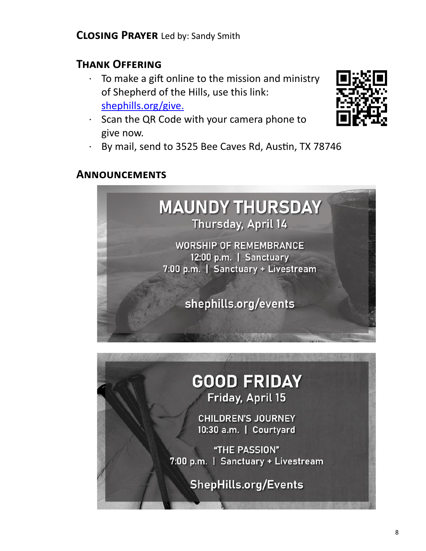### **Closing Prayer** Led by: Sandy Smith

### **Thank Offering**

- $\cdot$  To make a gift online to the mission and ministry of Shepherd of the Hills, use this link: [shephills.org/give.](https://shephills.org/give/)
- · Scan the QR Code with your camera phone to give now.



By mail, send to 3525 Bee Caves Rd, Austin, TX 78746

### **Announcements**



# **GOOD FRIDAY** Friday, April 15

**CHILDREN'S JOURNEY** 10:30 a.m. | Courtyard

"THE PASSION" 7:00 p.m. | Sanctuary + Livestream

**ShepHills.org/Events**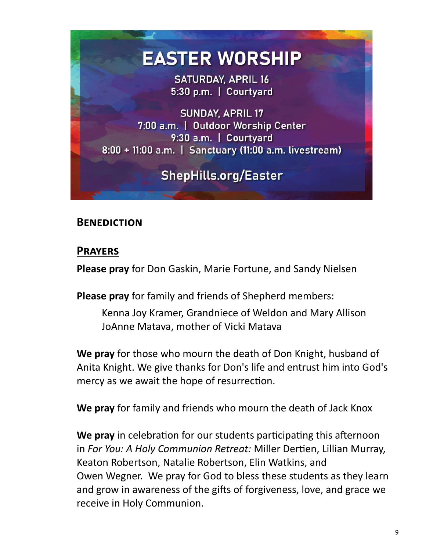# **EASTER WORSHIP**

**SATURDAY, APRIL 16** 5:30 p.m. | Courtyard

**SUNDAY, APRIL 17** 7:00 a.m. | Outdoor Worship Center 9:30 a.m. | Courtyard 8:00 + 11:00 a.m. | Sanctuary (11:00 a.m. livestream)

**ShepHills.org/Easter** 

#### **Benediction**

#### **Prayers**

**Please pray** for Don Gaskin, Marie Fortune, and Sandy Nielsen

**Please pray** for family and friends of Shepherd members:

Kenna Joy Kramer, Grandniece of Weldon and Mary Allison JoAnne Matava, mother of Vicki Matava

**We pray** for those who mourn the death of Don Knight, husband of Anita Knight. We give thanks for Don's life and entrust him into God's mercy as we await the hope of resurrection.

**We pray** for family and friends who mourn the death of Jack Knox

**We pray** in celebration for our students participating this afternoon in *For You: A Holy Communion Retreat:* Miller Dertien, Lillian Murray, Keaton Robertson, Natalie Robertson, Elin Watkins, and Owen Wegner. We pray for God to bless these students as they learn and grow in awareness of the gifts of forgiveness, love, and grace we receive in Holy Communion.